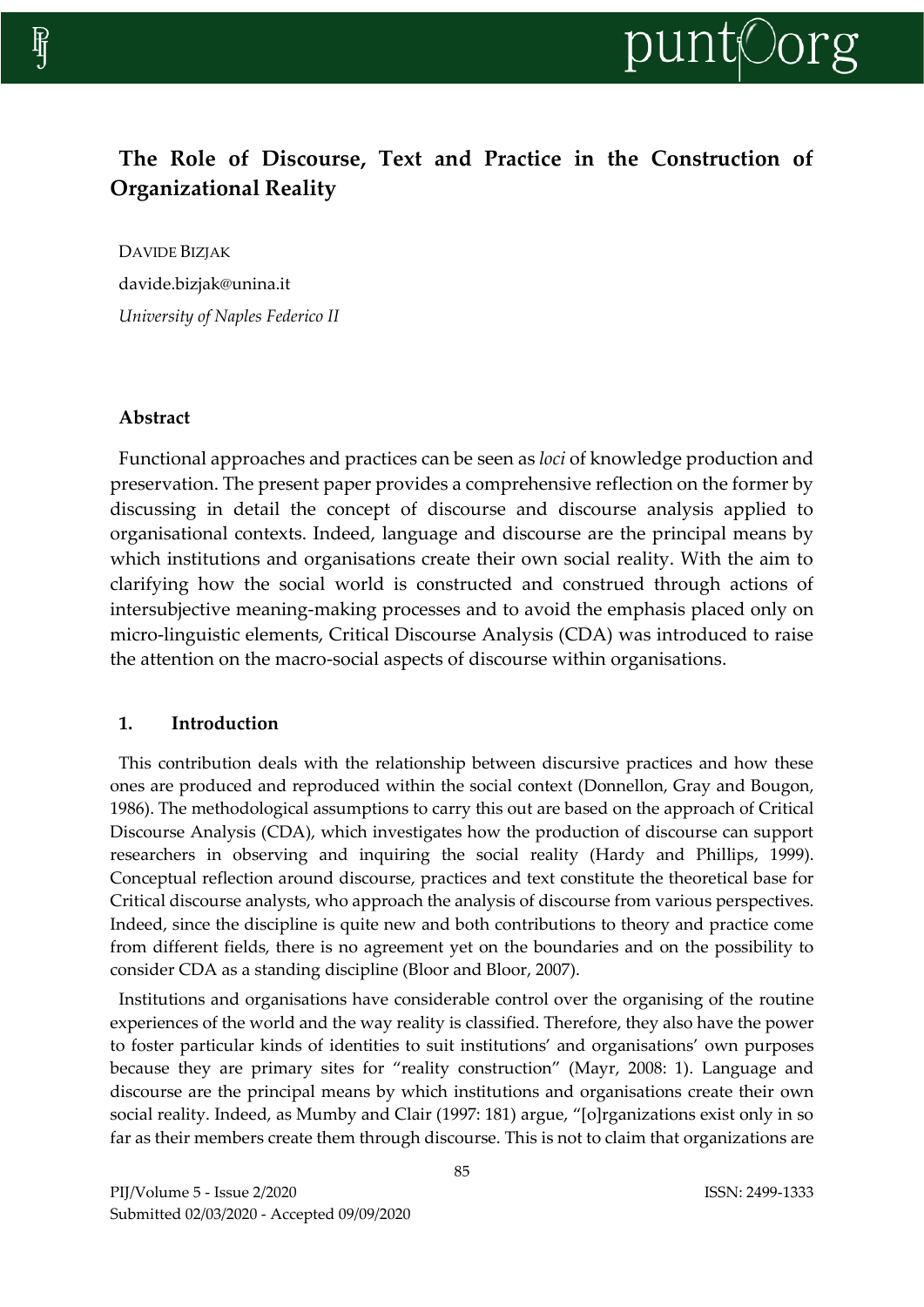

## **The Role of Discourse, Text and Practice in the Construction of Organizational Reality**

DAVIDE BIZJAK davide.bizjak@unina.it *University of Naples Federico II*

### **Abstract**

Functional approaches and practices can be seen as *loci* of knowledge production and preservation. The present paper provides a comprehensive reflection on the former by discussing in detail the concept of discourse and discourse analysis applied to organisational contexts. Indeed, language and discourse are the principal means by which institutions and organisations create their own social reality. With the aim to clarifying how the social world is constructed and construed through actions of intersubjective meaning-making processes and to avoid the emphasis placed only on micro-linguistic elements, Critical Discourse Analysis (CDA) was introduced to raise the attention on the macro-social aspects of discourse within organisations.

#### **1. Introduction**

This contribution deals with the relationship between discursive practices and how these ones are produced and reproduced within the social context (Donnellon, Gray and Bougon, 1986). The methodological assumptions to carry this out are based on the approach of Critical Discourse Analysis (CDA), which investigates how the production of discourse can support researchers in observing and inquiring the social reality (Hardy and Phillips, 1999). Conceptual reflection around discourse, practices and text constitute the theoretical base for Critical discourse analysts, who approach the analysis of discourse from various perspectives. Indeed, since the discipline is quite new and both contributions to theory and practice come from different fields, there is no agreement yet on the boundaries and on the possibility to consider CDA as a standing discipline (Bloor and Bloor, 2007).

Institutions and organisations have considerable control over the organising of the routine experiences of the world and the way reality is classified. Therefore, they also have the power to foster particular kinds of identities to suit institutions' and organisations' own purposes because they are primary sites for "reality construction" (Mayr, 2008: 1). Language and discourse are the principal means by which institutions and organisations create their own social reality. Indeed, as Mumby and Clair (1997: 181) argue, "[o]rganizations exist only in so far as their members create them through discourse. This is not to claim that organizations are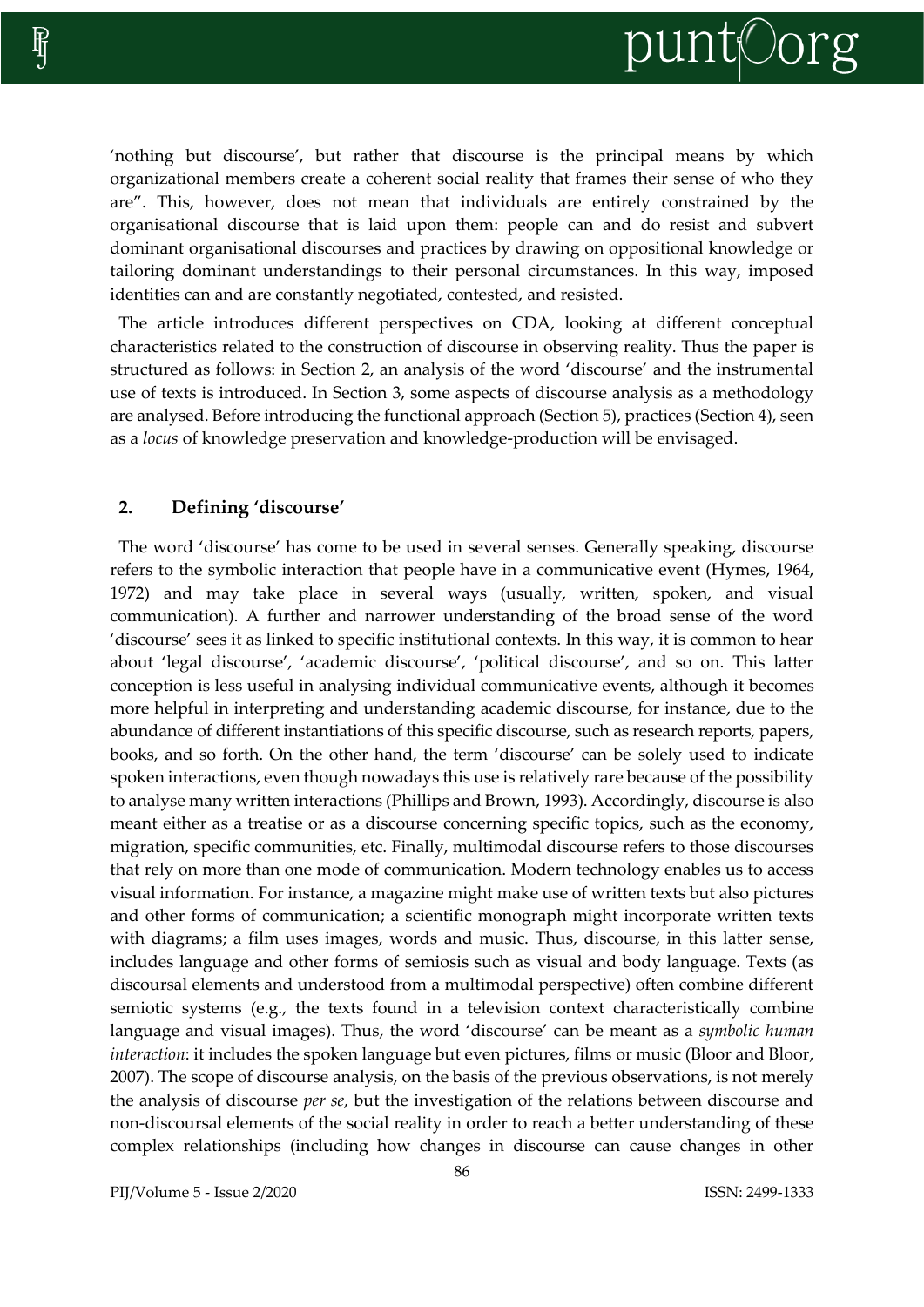

'nothing but discourse', but rather that discourse is the principal means by which organizational members create a coherent social reality that frames their sense of who they are". This, however, does not mean that individuals are entirely constrained by the organisational discourse that is laid upon them: people can and do resist and subvert dominant organisational discourses and practices by drawing on oppositional knowledge or tailoring dominant understandings to their personal circumstances. In this way, imposed identities can and are constantly negotiated, contested, and resisted.

The article introduces different perspectives on CDA, looking at different conceptual characteristics related to the construction of discourse in observing reality. Thus the paper is structured as follows: in Section 2, an analysis of the word 'discourse' and the instrumental use of texts is introduced. In Section 3, some aspects of discourse analysis as a methodology are analysed. Before introducing the functional approach (Section 5), practices (Section 4), seen as a *locus* of knowledge preservation and knowledge-production will be envisaged.

## **2. Defining 'discourse'**

The word 'discourse' has come to be used in several senses. Generally speaking, discourse refers to the symbolic interaction that people have in a communicative event (Hymes, 1964, 1972) and may take place in several ways (usually, written, spoken, and visual communication). A further and narrower understanding of the broad sense of the word 'discourse' sees it as linked to specific institutional contexts. In this way, it is common to hear about 'legal discourse', 'academic discourse', 'political discourse', and so on. This latter conception is less useful in analysing individual communicative events, although it becomes more helpful in interpreting and understanding academic discourse, for instance, due to the abundance of different instantiations of this specific discourse, such as research reports, papers, books, and so forth. On the other hand, the term 'discourse' can be solely used to indicate spoken interactions, even though nowadays this use is relatively rare because of the possibility to analyse many written interactions (Phillips and Brown, 1993). Accordingly, discourse is also meant either as a treatise or as a discourse concerning specific topics, such as the economy, migration, specific communities, etc. Finally, multimodal discourse refers to those discourses that rely on more than one mode of communication. Modern technology enables us to access visual information. For instance, a magazine might make use of written texts but also pictures and other forms of communication; a scientific monograph might incorporate written texts with diagrams; a film uses images, words and music. Thus, discourse, in this latter sense, includes language and other forms of semiosis such as visual and body language. Texts (as discoursal elements and understood from a multimodal perspective) often combine different semiotic systems (e.g., the texts found in a television context characteristically combine language and visual images). Thus, the word 'discourse' can be meant as a *symbolic human interaction*: it includes the spoken language but even pictures, films or music (Bloor and Bloor, 2007). The scope of discourse analysis, on the basis of the previous observations, is not merely the analysis of discourse *per se*, but the investigation of the relations between discourse and non-discoursal elements of the social reality in order to reach a better understanding of these complex relationships (including how changes in discourse can cause changes in other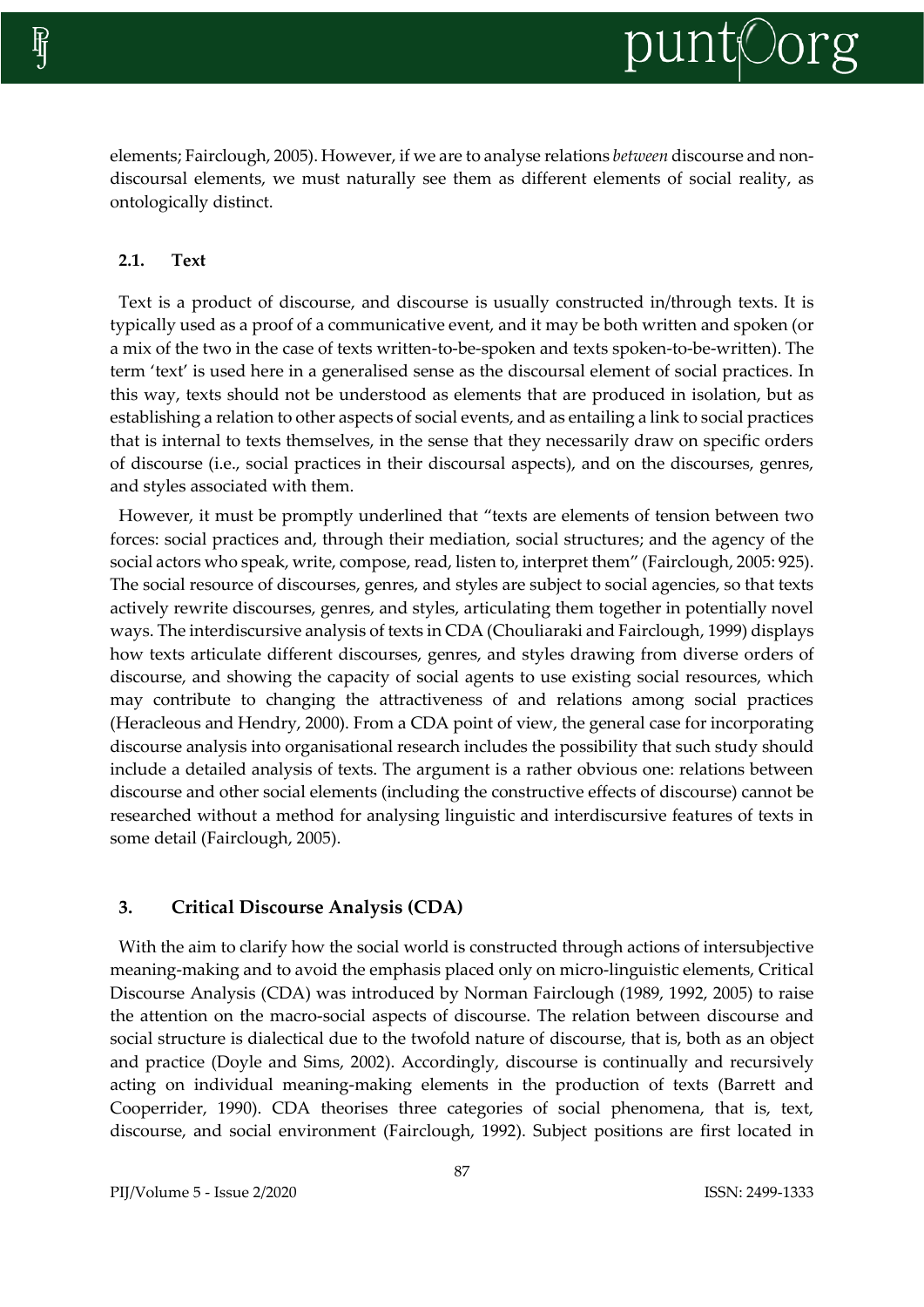elements; Fairclough, 2005). However, if we are to analyse relations *between* discourse and nondiscoursal elements, we must naturally see them as different elements of social reality, as ontologically distinct.

## **2.1. Text**

Text is a product of discourse, and discourse is usually constructed in/through texts. It is typically used as a proof of a communicative event, and it may be both written and spoken (or a mix of the two in the case of texts written-to-be-spoken and texts spoken-to-be-written). The term 'text' is used here in a generalised sense as the discoursal element of social practices. In this way, texts should not be understood as elements that are produced in isolation, but as establishing a relation to other aspects of social events, and as entailing a link to social practices that is internal to texts themselves, in the sense that they necessarily draw on specific orders of discourse (i.e., social practices in their discoursal aspects), and on the discourses, genres, and styles associated with them.

However, it must be promptly underlined that "texts are elements of tension between two forces: social practices and, through their mediation, social structures; and the agency of the social actors who speak, write, compose, read, listen to, interpret them" (Fairclough, 2005: 925). The social resource of discourses, genres, and styles are subject to social agencies, so that texts actively rewrite discourses, genres, and styles, articulating them together in potentially novel ways. The interdiscursive analysis of texts in CDA (Chouliaraki and Fairclough, 1999) displays how texts articulate different discourses, genres, and styles drawing from diverse orders of discourse, and showing the capacity of social agents to use existing social resources, which may contribute to changing the attractiveness of and relations among social practices (Heracleous and Hendry, 2000). From a CDA point of view, the general case for incorporating discourse analysis into organisational research includes the possibility that such study should include a detailed analysis of texts. The argument is a rather obvious one: relations between discourse and other social elements (including the constructive effects of discourse) cannot be researched without a method for analysing linguistic and interdiscursive features of texts in some detail (Fairclough, 2005).

## **3. Critical Discourse Analysis (CDA)**

With the aim to clarify how the social world is constructed through actions of intersubjective meaning-making and to avoid the emphasis placed only on micro-linguistic elements, Critical Discourse Analysis (CDA) was introduced by Norman Fairclough (1989, 1992, 2005) to raise the attention on the macro-social aspects of discourse. The relation between discourse and social structure is dialectical due to the twofold nature of discourse, that is, both as an object and practice (Doyle and Sims, 2002). Accordingly, discourse is continually and recursively acting on individual meaning-making elements in the production of texts (Barrett and Cooperrider, 1990). CDA theorises three categories of social phenomena, that is, text, discourse, and social environment (Fairclough, 1992). Subject positions are first located in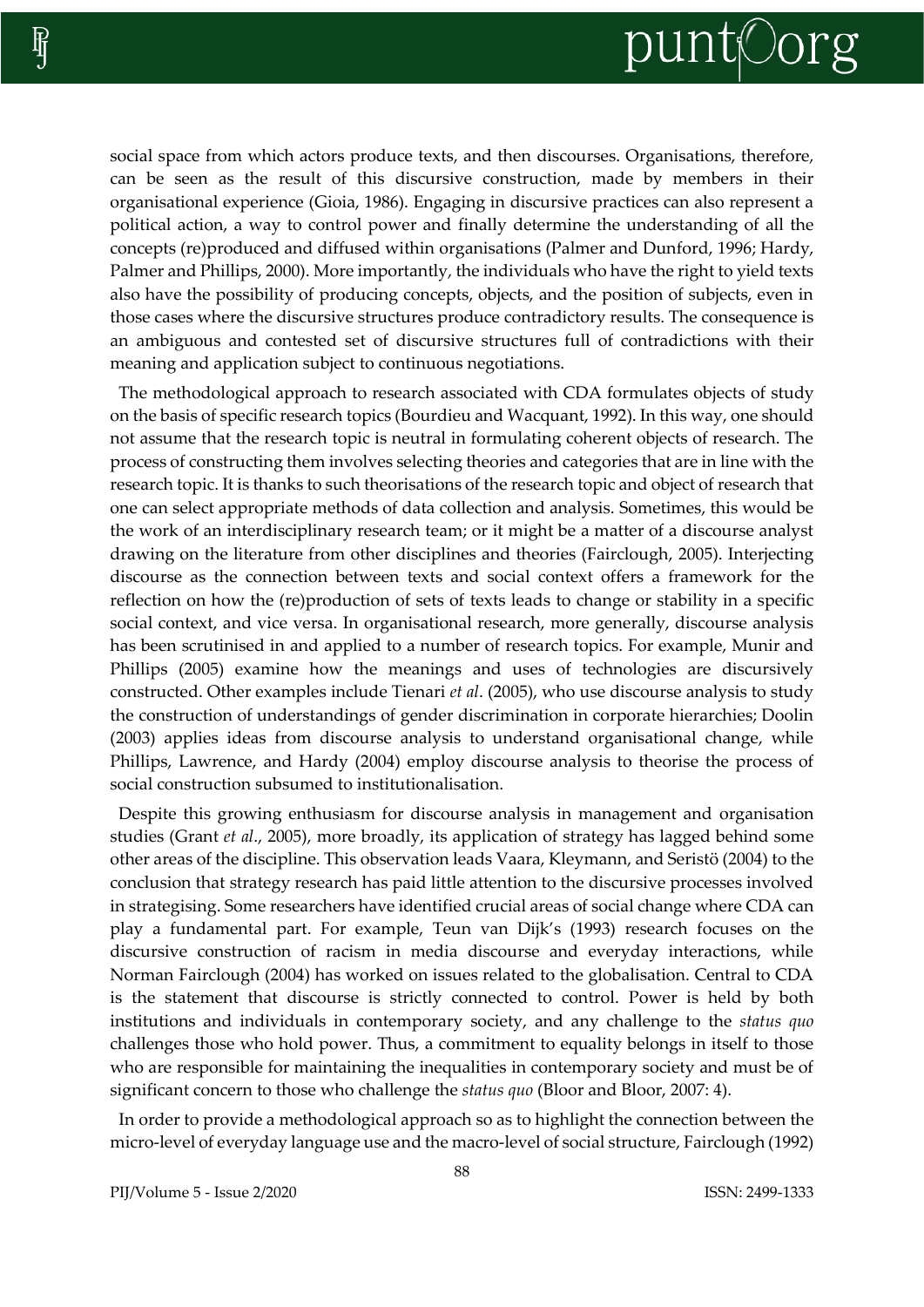

social space from which actors produce texts, and then discourses. Organisations, therefore, can be seen as the result of this discursive construction, made by members in their organisational experience (Gioia, 1986). Engaging in discursive practices can also represent a political action, a way to control power and finally determine the understanding of all the concepts (re)produced and diffused within organisations (Palmer and Dunford, 1996; Hardy, Palmer and Phillips, 2000). More importantly, the individuals who have the right to yield texts also have the possibility of producing concepts, objects, and the position of subjects, even in those cases where the discursive structures produce contradictory results. The consequence is an ambiguous and contested set of discursive structures full of contradictions with their meaning and application subject to continuous negotiations.

The methodological approach to research associated with CDA formulates objects of study on the basis of specific research topics (Bourdieu and Wacquant, 1992). In this way, one should not assume that the research topic is neutral in formulating coherent objects of research. The process of constructing them involves selecting theories and categories that are in line with the research topic. It is thanks to such theorisations of the research topic and object of research that one can select appropriate methods of data collection and analysis. Sometimes, this would be the work of an interdisciplinary research team; or it might be a matter of a discourse analyst drawing on the literature from other disciplines and theories (Fairclough, 2005). Interjecting discourse as the connection between texts and social context offers a framework for the reflection on how the (re)production of sets of texts leads to change or stability in a specific social context, and vice versa. In organisational research, more generally, discourse analysis has been scrutinised in and applied to a number of research topics. For example, Munir and Phillips (2005) examine how the meanings and uses of technologies are discursively constructed. Other examples include Tienari *et al*. (2005), who use discourse analysis to study the construction of understandings of gender discrimination in corporate hierarchies; Doolin (2003) applies ideas from discourse analysis to understand organisational change, while Phillips, Lawrence, and Hardy (2004) employ discourse analysis to theorise the process of social construction subsumed to institutionalisation.

Despite this growing enthusiasm for discourse analysis in management and organisation studies (Grant *et al*., 2005), more broadly, its application of strategy has lagged behind some other areas of the discipline. This observation leads Vaara, Kleymann, and Seristö (2004) to the conclusion that strategy research has paid little attention to the discursive processes involved in strategising. Some researchers have identified crucial areas of social change where CDA can play a fundamental part. For example, Teun van Dijk's (1993) research focuses on the discursive construction of racism in media discourse and everyday interactions, while Norman Fairclough (2004) has worked on issues related to the globalisation. Central to CDA is the statement that discourse is strictly connected to control. Power is held by both institutions and individuals in contemporary society, and any challenge to the *status quo* challenges those who hold power. Thus, a commitment to equality belongs in itself to those who are responsible for maintaining the inequalities in contemporary society and must be of significant concern to those who challenge the *status quo* (Bloor and Bloor, 2007: 4).

In order to provide a methodological approach so as to highlight the connection between the micro-level of everyday language use and the macro-level of social structure, Fairclough (1992)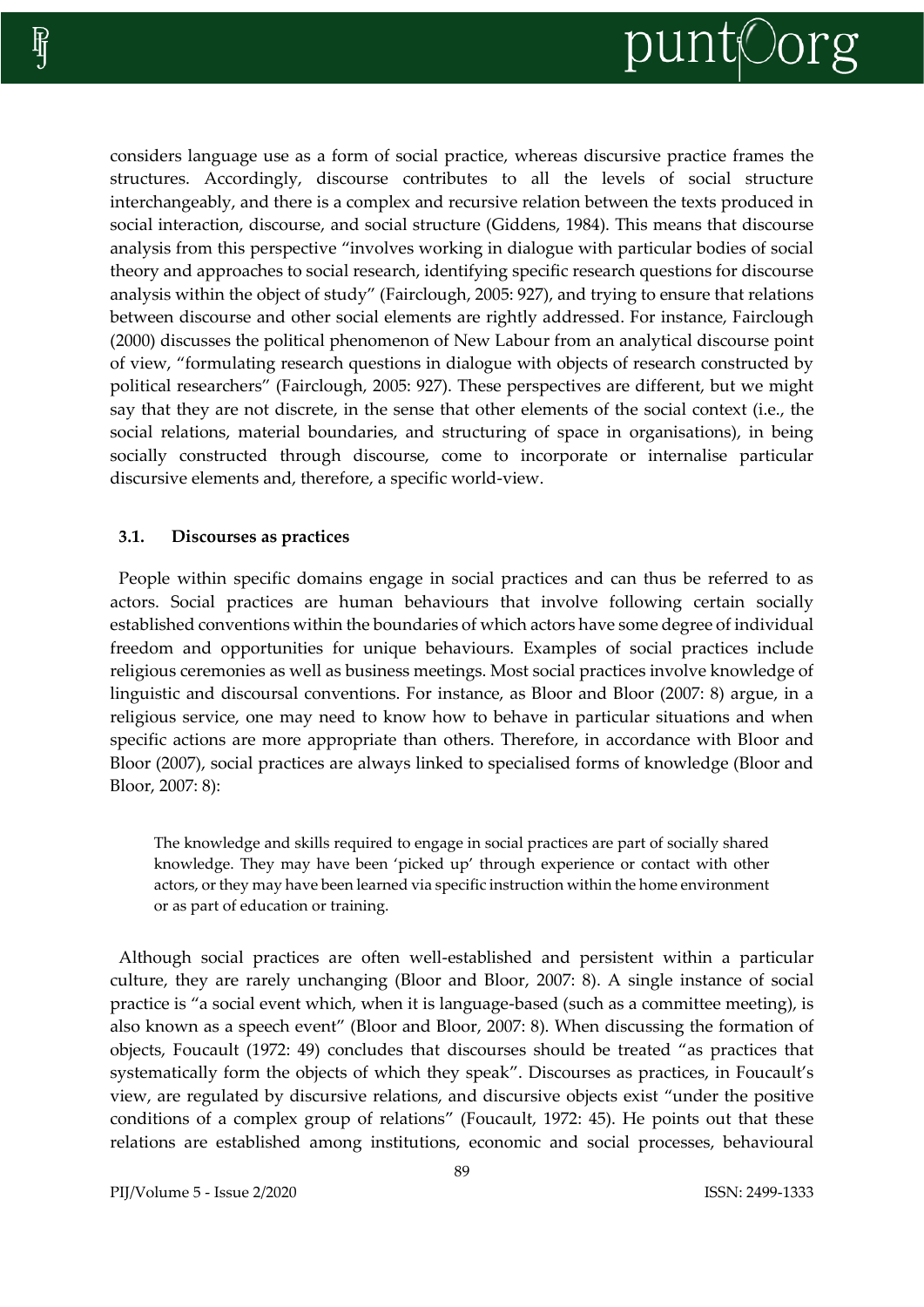

considers language use as a form of social practice, whereas discursive practice frames the structures. Accordingly, discourse contributes to all the levels of social structure interchangeably, and there is a complex and recursive relation between the texts produced in social interaction, discourse, and social structure (Giddens, 1984). This means that discourse analysis from this perspective "involves working in dialogue with particular bodies of social theory and approaches to social research, identifying specific research questions for discourse analysis within the object of study" (Fairclough, 2005: 927), and trying to ensure that relations between discourse and other social elements are rightly addressed. For instance, Fairclough (2000) discusses the political phenomenon of New Labour from an analytical discourse point of view, "formulating research questions in dialogue with objects of research constructed by political researchers" (Fairclough, 2005: 927). These perspectives are different, but we might say that they are not discrete, in the sense that other elements of the social context (i.e., the social relations, material boundaries, and structuring of space in organisations), in being socially constructed through discourse, come to incorporate or internalise particular discursive elements and, therefore, a specific world-view.

### **3.1. Discourses as practices**

People within specific domains engage in social practices and can thus be referred to as actors. Social practices are human behaviours that involve following certain socially established conventions within the boundaries of which actors have some degree of individual freedom and opportunities for unique behaviours. Examples of social practices include religious ceremonies as well as business meetings. Most social practices involve knowledge of linguistic and discoursal conventions. For instance, as Bloor and Bloor (2007: 8) argue, in a religious service, one may need to know how to behave in particular situations and when specific actions are more appropriate than others. Therefore, in accordance with Bloor and Bloor (2007), social practices are always linked to specialised forms of knowledge (Bloor and Bloor, 2007: 8):

The knowledge and skills required to engage in social practices are part of socially shared knowledge. They may have been 'picked up' through experience or contact with other actors, or they may have been learned via specific instruction within the home environment or as part of education or training.

Although social practices are often well-established and persistent within a particular culture, they are rarely unchanging (Bloor and Bloor, 2007: 8). A single instance of social practice is "a social event which, when it is language-based (such as a committee meeting), is also known as a speech event" (Bloor and Bloor, 2007: 8). When discussing the formation of objects, Foucault (1972: 49) concludes that discourses should be treated "as practices that systematically form the objects of which they speak". Discourses as practices, in Foucault's view, are regulated by discursive relations, and discursive objects exist "under the positive conditions of a complex group of relations" (Foucault, 1972: 45). He points out that these relations are established among institutions, economic and social processes, behavioural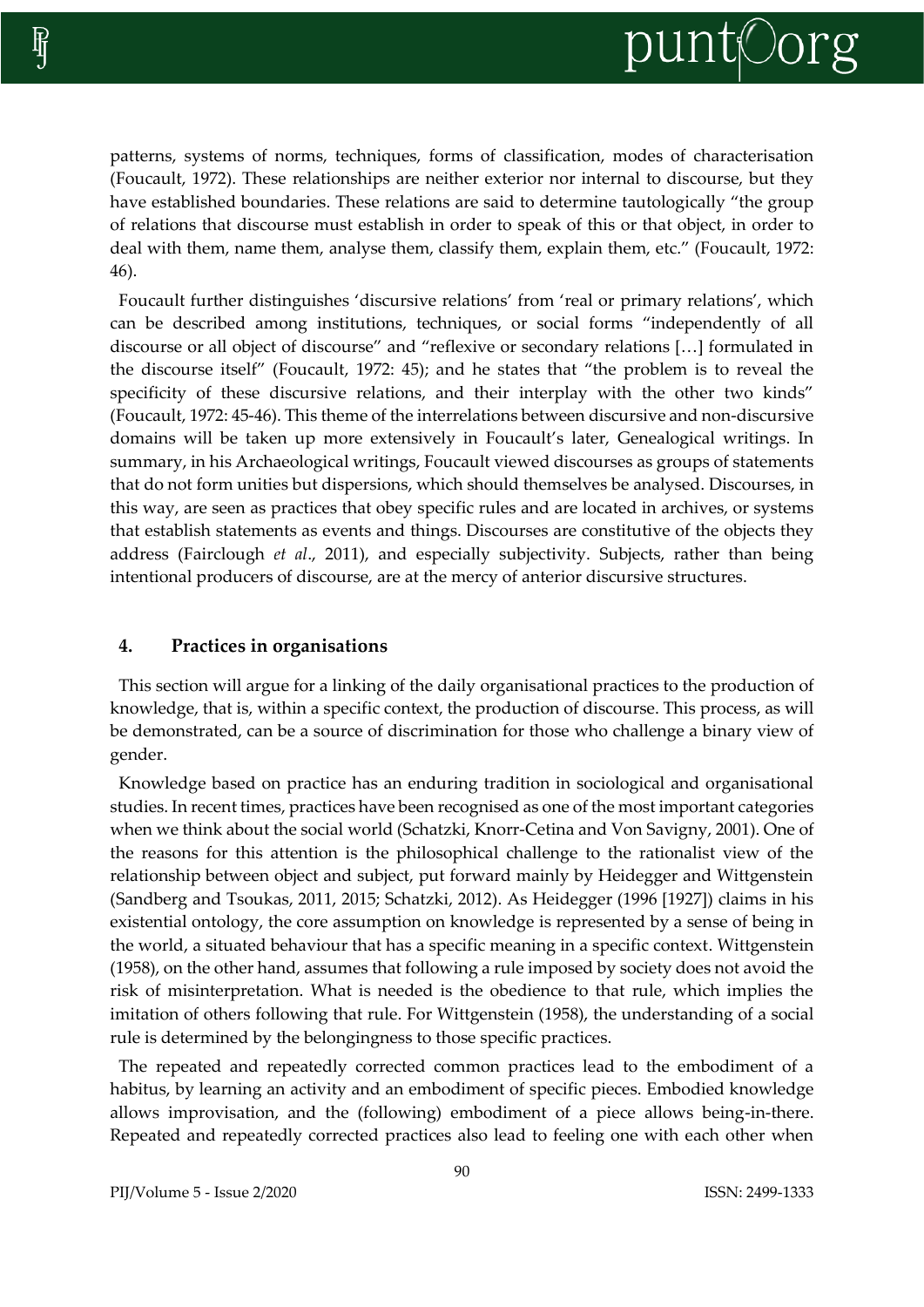# punt©org

patterns, systems of norms, techniques, forms of classification, modes of characterisation (Foucault, 1972). These relationships are neither exterior nor internal to discourse, but they have established boundaries. These relations are said to determine tautologically "the group of relations that discourse must establish in order to speak of this or that object, in order to deal with them, name them, analyse them, classify them, explain them, etc." (Foucault, 1972: 46).

Foucault further distinguishes 'discursive relations' from 'real or primary relations', which can be described among institutions, techniques, or social forms "independently of all discourse or all object of discourse" and "reflexive or secondary relations […] formulated in the discourse itself" (Foucault, 1972: 45); and he states that "the problem is to reveal the specificity of these discursive relations, and their interplay with the other two kinds" (Foucault, 1972: 45-46). This theme of the interrelations between discursive and non-discursive domains will be taken up more extensively in Foucault's later, Genealogical writings. In summary, in his Archaeological writings, Foucault viewed discourses as groups of statements that do not form unities but dispersions, which should themselves be analysed. Discourses, in this way, are seen as practices that obey specific rules and are located in archives, or systems that establish statements as events and things. Discourses are constitutive of the objects they address (Fairclough *et al*., 2011), and especially subjectivity. Subjects, rather than being intentional producers of discourse, are at the mercy of anterior discursive structures.

## **4. Practices in organisations**

This section will argue for a linking of the daily organisational practices to the production of knowledge, that is, within a specific context, the production of discourse. This process, as will be demonstrated, can be a source of discrimination for those who challenge a binary view of gender.

Knowledge based on practice has an enduring tradition in sociological and organisational studies. In recent times, practices have been recognised as one of the most important categories when we think about the social world (Schatzki, Knorr-Cetina and Von Savigny, 2001). One of the reasons for this attention is the philosophical challenge to the rationalist view of the relationship between object and subject, put forward mainly by Heidegger and Wittgenstein (Sandberg and Tsoukas, 2011, 2015; Schatzki, 2012). As Heidegger (1996 [1927]) claims in his existential ontology, the core assumption on knowledge is represented by a sense of being in the world, a situated behaviour that has a specific meaning in a specific context. Wittgenstein (1958), on the other hand, assumes that following a rule imposed by society does not avoid the risk of misinterpretation. What is needed is the obedience to that rule, which implies the imitation of others following that rule. For Wittgenstein (1958), the understanding of a social rule is determined by the belongingness to those specific practices.

The repeated and repeatedly corrected common practices lead to the embodiment of a habitus, by learning an activity and an embodiment of specific pieces. Embodied knowledge allows improvisation, and the (following) embodiment of a piece allows being-in-there. Repeated and repeatedly corrected practices also lead to feeling one with each other when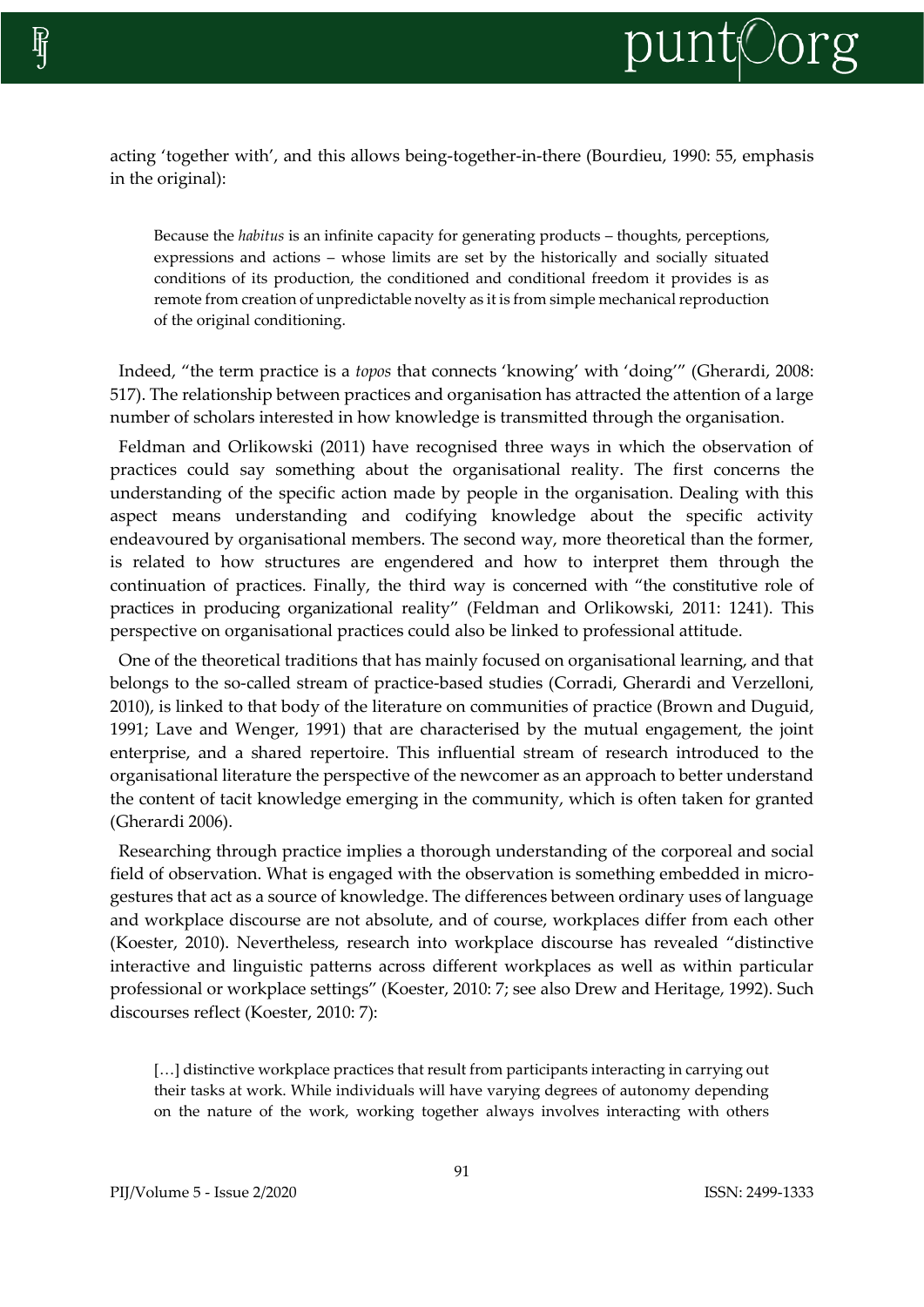acting 'together with', and this allows being-together-in-there (Bourdieu, 1990: 55, emphasis in the original):

Because the *habitus* is an infinite capacity for generating products – thoughts, perceptions, expressions and actions – whose limits are set by the historically and socially situated conditions of its production, the conditioned and conditional freedom it provides is as remote from creation of unpredictable novelty as it is from simple mechanical reproduction of the original conditioning.

Indeed, "the term practice is a *topos* that connects 'knowing' with 'doing'" (Gherardi, 2008: 517). The relationship between practices and organisation has attracted the attention of a large number of scholars interested in how knowledge is transmitted through the organisation.

Feldman and Orlikowski (2011) have recognised three ways in which the observation of practices could say something about the organisational reality. The first concerns the understanding of the specific action made by people in the organisation. Dealing with this aspect means understanding and codifying knowledge about the specific activity endeavoured by organisational members. The second way, more theoretical than the former, is related to how structures are engendered and how to interpret them through the continuation of practices. Finally, the third way is concerned with "the constitutive role of practices in producing organizational reality" (Feldman and Orlikowski, 2011: 1241). This perspective on organisational practices could also be linked to professional attitude.

One of the theoretical traditions that has mainly focused on organisational learning, and that belongs to the so-called stream of practice-based studies (Corradi, Gherardi and Verzelloni, 2010), is linked to that body of the literature on communities of practice (Brown and Duguid, 1991; Lave and Wenger, 1991) that are characterised by the mutual engagement, the joint enterprise, and a shared repertoire. This influential stream of research introduced to the organisational literature the perspective of the newcomer as an approach to better understand the content of tacit knowledge emerging in the community, which is often taken for granted (Gherardi 2006).

Researching through practice implies a thorough understanding of the corporeal and social field of observation. What is engaged with the observation is something embedded in microgestures that act as a source of knowledge. The differences between ordinary uses of language and workplace discourse are not absolute, and of course, workplaces differ from each other (Koester, 2010). Nevertheless, research into workplace discourse has revealed "distinctive interactive and linguistic patterns across different workplaces as well as within particular professional or workplace settings" (Koester, 2010: 7; see also Drew and Heritage, 1992). Such discourses reflect (Koester, 2010: 7):

[...] distinctive workplace practices that result from participants interacting in carrying out their tasks at work. While individuals will have varying degrees of autonomy depending on the nature of the work, working together always involves interacting with others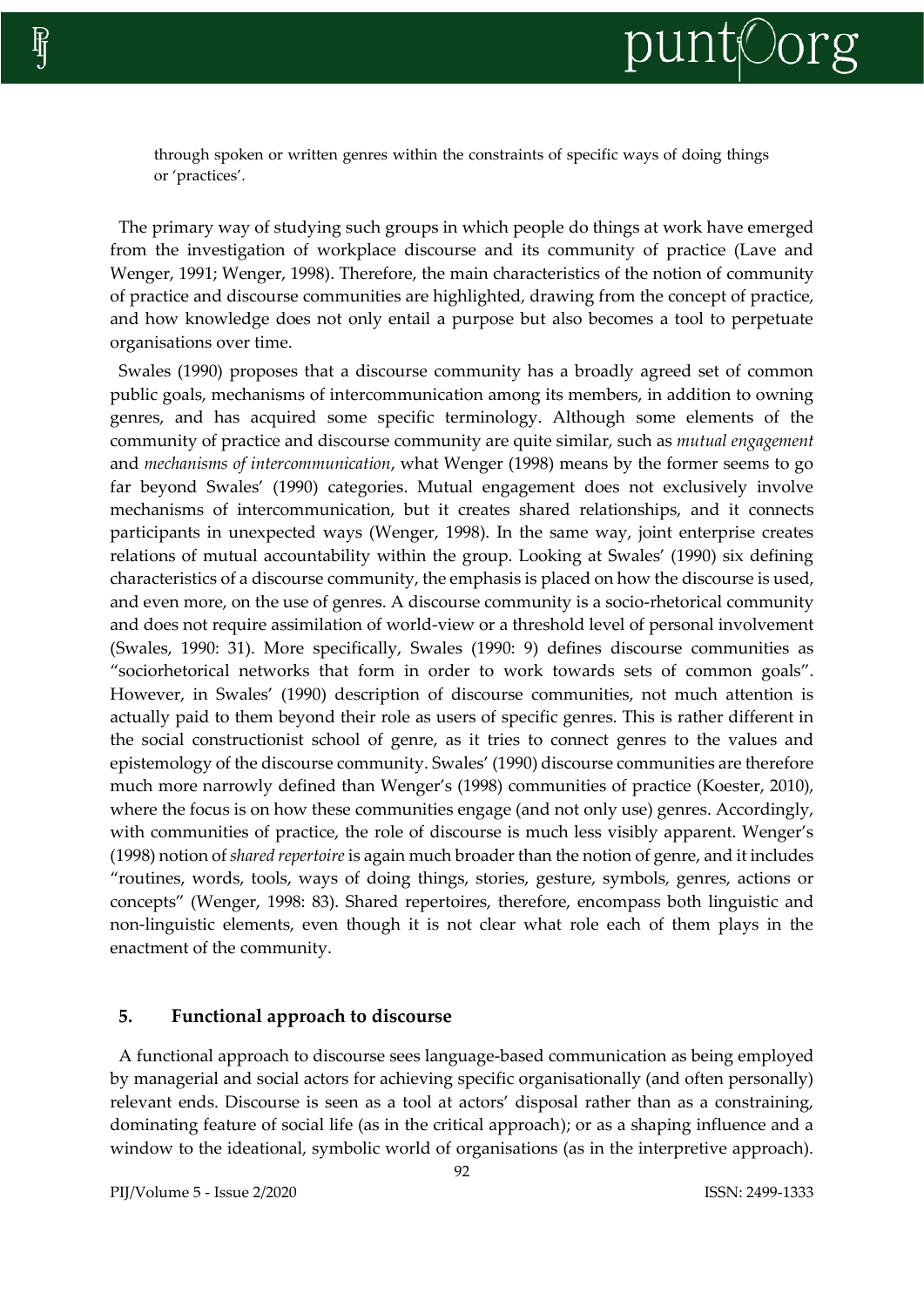through spoken or written genres within the constraints of specific ways of doing things or 'practices'.

The primary way of studying such groups in which people do things at work have emerged from the investigation of workplace discourse and its community of practice (Lave and Wenger, 1991; Wenger, 1998). Therefore, the main characteristics of the notion of community of practice and discourse communities are highlighted, drawing from the concept of practice, and how knowledge does not only entail a purpose but also becomes a tool to perpetuate organisations over time.

Swales (1990) proposes that a discourse community has a broadly agreed set of common public goals, mechanisms of intercommunication among its members, in addition to owning genres, and has acquired some specific terminology. Although some elements of the community of practice and discourse community are quite similar, such as *mutual engagement* and *mechanisms of intercommunication*, what Wenger (1998) means by the former seems to go far beyond Swales' (1990) categories. Mutual engagement does not exclusively involve mechanisms of intercommunication, but it creates shared relationships, and it connects participants in unexpected ways (Wenger, 1998). In the same way, joint enterprise creates relations of mutual accountability within the group. Looking at Swales' (1990) six defining characteristics of a discourse community, the emphasis is placed on how the discourse is used, and even more, on the use of genres. A discourse community is a socio-rhetorical community and does not require assimilation of world-view or a threshold level of personal involvement (Swales, 1990: 31). More specifically, Swales (1990: 9) defines discourse communities as "sociorhetorical networks that form in order to work towards sets of common goals". However, in Swales' (1990) description of discourse communities, not much attention is actually paid to them beyond their role as users of specific genres. This is rather different in the social constructionist school of genre, as it tries to connect genres to the values and epistemology of the discourse community. Swales' (1990) discourse communities are therefore much more narrowly defined than Wenger's (1998) communities of practice (Koester, 2010), where the focus is on how these communities engage (and not only use) genres. Accordingly, with communities of practice, the role of discourse is much less visibly apparent. Wenger's (1998) notion of *shared repertoire* is again much broader than the notion of genre, and it includes "routines, words, tools, ways of doing things, stories, gesture, symbols, genres, actions or concepts" (Wenger, 1998: 83). Shared repertoires, therefore, encompass both linguistic and non-linguistic elements, even though it is not clear what role each of them plays in the enactment of the community.

#### **5. Functional approach to discourse**

A functional approach to discourse sees language-based communication as being employed by managerial and social actors for achieving specific organisationally (and often personally) relevant ends. Discourse is seen as a tool at actors' disposal rather than as a constraining, dominating feature of social life (as in the critical approach); or as a shaping influence and a window to the ideational, symbolic world of organisations (as in the interpretive approach).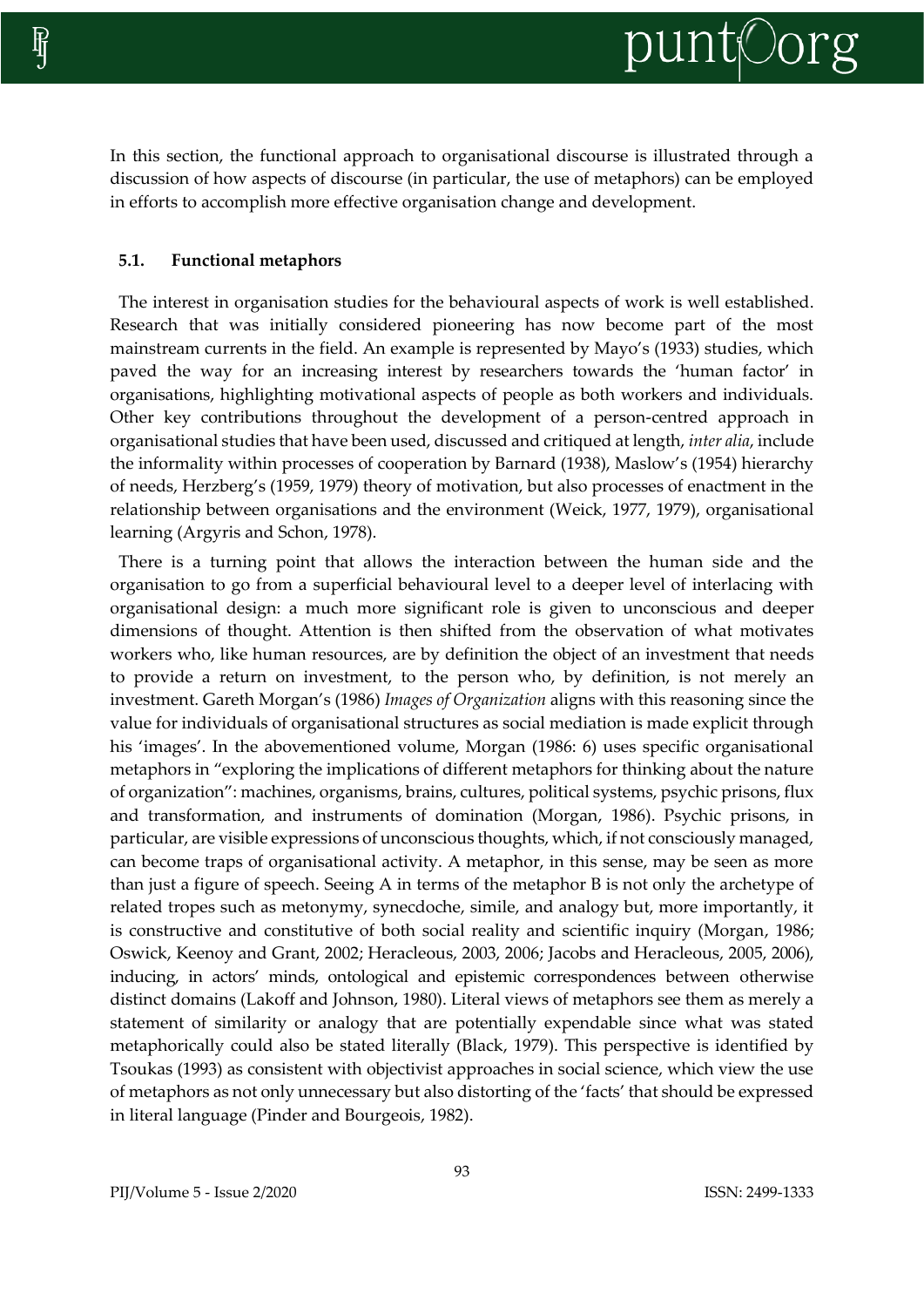In this section, the functional approach to organisational discourse is illustrated through a discussion of how aspects of discourse (in particular, the use of metaphors) can be employed in efforts to accomplish more effective organisation change and development.

#### **5.1. Functional metaphors**

The interest in organisation studies for the behavioural aspects of work is well established. Research that was initially considered pioneering has now become part of the most mainstream currents in the field. An example is represented by Mayo's (1933) studies, which paved the way for an increasing interest by researchers towards the 'human factor' in organisations, highlighting motivational aspects of people as both workers and individuals. Other key contributions throughout the development of a person-centred approach in organisational studies that have been used, discussed and critiqued at length, *inter alia*, include the informality within processes of cooperation by Barnard (1938), Maslow's (1954) hierarchy of needs, Herzberg's (1959, 1979) theory of motivation, but also processes of enactment in the relationship between organisations and the environment (Weick, 1977, 1979), organisational learning (Argyris and Schon, 1978).

There is a turning point that allows the interaction between the human side and the organisation to go from a superficial behavioural level to a deeper level of interlacing with organisational design: a much more significant role is given to unconscious and deeper dimensions of thought. Attention is then shifted from the observation of what motivates workers who, like human resources, are by definition the object of an investment that needs to provide a return on investment, to the person who, by definition, is not merely an investment. Gareth Morgan's (1986) *Images of Organization* aligns with this reasoning since the value for individuals of organisational structures as social mediation is made explicit through his 'images'. In the abovementioned volume, Morgan (1986: 6) uses specific organisational metaphors in "exploring the implications of different metaphors for thinking about the nature of organization": machines, organisms, brains, cultures, political systems, psychic prisons, flux and transformation, and instruments of domination (Morgan, 1986). Psychic prisons, in particular, are visible expressions of unconscious thoughts, which, if not consciously managed, can become traps of organisational activity. A metaphor, in this sense, may be seen as more than just a figure of speech. Seeing A in terms of the metaphor B is not only the archetype of related tropes such as metonymy, synecdoche, simile, and analogy but, more importantly, it is constructive and constitutive of both social reality and scientific inquiry (Morgan, 1986; Oswick, Keenoy and Grant, 2002; Heracleous, 2003, 2006; Jacobs and Heracleous, 2005, 2006), inducing, in actors' minds, ontological and epistemic correspondences between otherwise distinct domains (Lakoff and Johnson, 1980). Literal views of metaphors see them as merely a statement of similarity or analogy that are potentially expendable since what was stated metaphorically could also be stated literally (Black, 1979). This perspective is identified by Tsoukas (1993) as consistent with objectivist approaches in social science, which view the use of metaphors as not only unnecessary but also distorting of the 'facts' that should be expressed in literal language (Pinder and Bourgeois, 1982).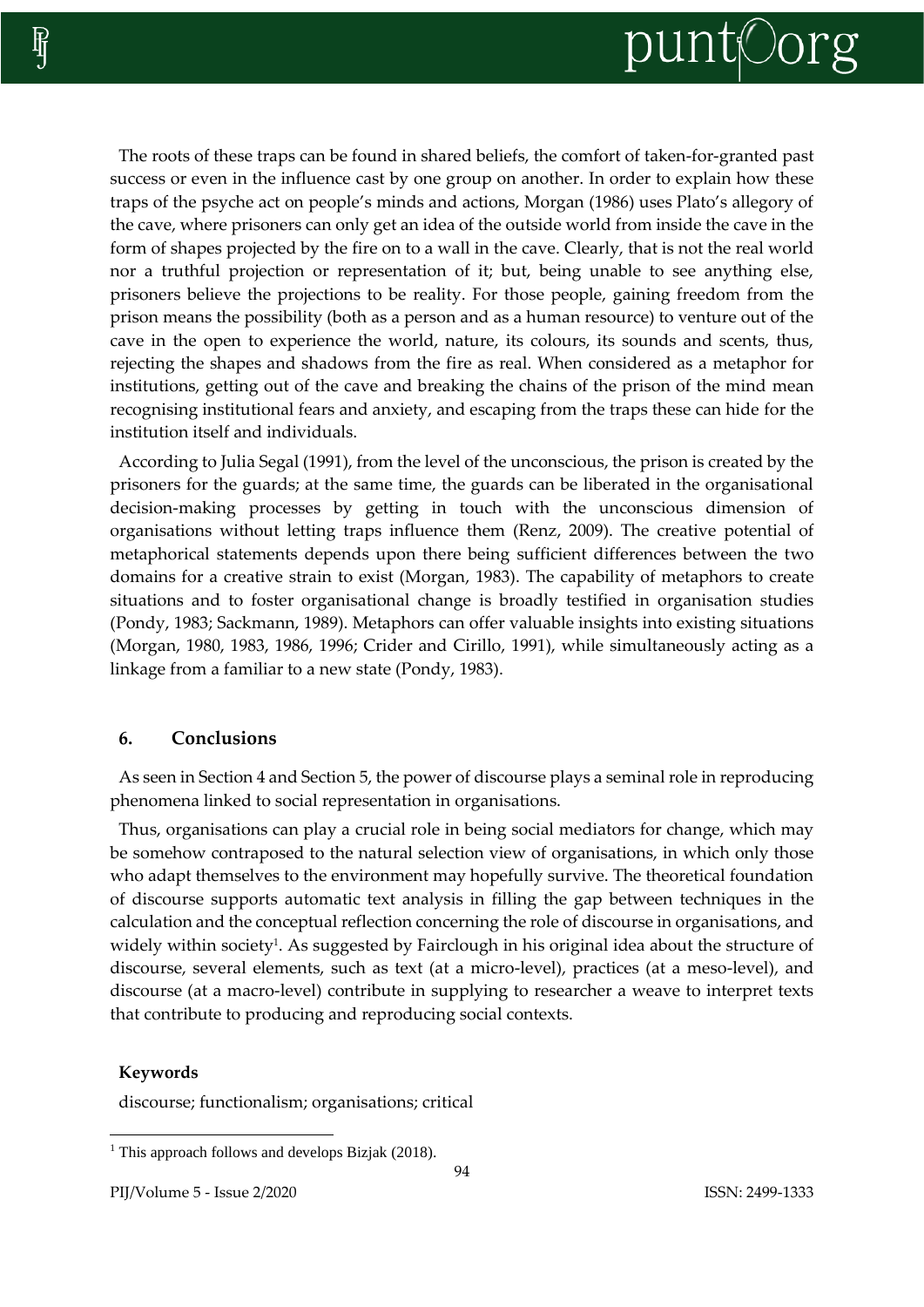

The roots of these traps can be found in shared beliefs, the comfort of taken-for-granted past success or even in the influence cast by one group on another. In order to explain how these traps of the psyche act on people's minds and actions, Morgan (1986) uses Plato's allegory of the cave, where prisoners can only get an idea of the outside world from inside the cave in the form of shapes projected by the fire on to a wall in the cave. Clearly, that is not the real world nor a truthful projection or representation of it; but, being unable to see anything else, prisoners believe the projections to be reality. For those people, gaining freedom from the prison means the possibility (both as a person and as a human resource) to venture out of the cave in the open to experience the world, nature, its colours, its sounds and scents, thus, rejecting the shapes and shadows from the fire as real. When considered as a metaphor for institutions, getting out of the cave and breaking the chains of the prison of the mind mean recognising institutional fears and anxiety, and escaping from the traps these can hide for the institution itself and individuals.

According to Julia Segal (1991), from the level of the unconscious, the prison is created by the prisoners for the guards; at the same time, the guards can be liberated in the organisational decision-making processes by getting in touch with the unconscious dimension of organisations without letting traps influence them (Renz, 2009). The creative potential of metaphorical statements depends upon there being sufficient differences between the two domains for a creative strain to exist (Morgan, 1983). The capability of metaphors to create situations and to foster organisational change is broadly testified in organisation studies (Pondy, 1983; Sackmann, 1989). Metaphors can offer valuable insights into existing situations (Morgan, 1980, 1983, 1986, 1996; Crider and Cirillo, 1991), while simultaneously acting as a linkage from a familiar to a new state (Pondy, 1983).

#### **6. Conclusions**

As seen in Section 4 and Section 5, the power of discourse plays a seminal role in reproducing phenomena linked to social representation in organisations.

Thus, organisations can play a crucial role in being social mediators for change, which may be somehow contraposed to the natural selection view of organisations, in which only those who adapt themselves to the environment may hopefully survive. The theoretical foundation of discourse supports automatic text analysis in filling the gap between techniques in the calculation and the conceptual reflection concerning the role of discourse in organisations, and widely within society<sup>1</sup>. As suggested by Fairclough in his original idea about the structure of discourse, several elements, such as text (at a micro-level), practices (at a meso-level), and discourse (at a macro-level) contribute in supplying to researcher a weave to interpret texts that contribute to producing and reproducing social contexts.

#### **Keywords**

discourse; functionalism; organisations; critical

<sup>&</sup>lt;sup>1</sup> This approach follows and develops Bizjak (2018).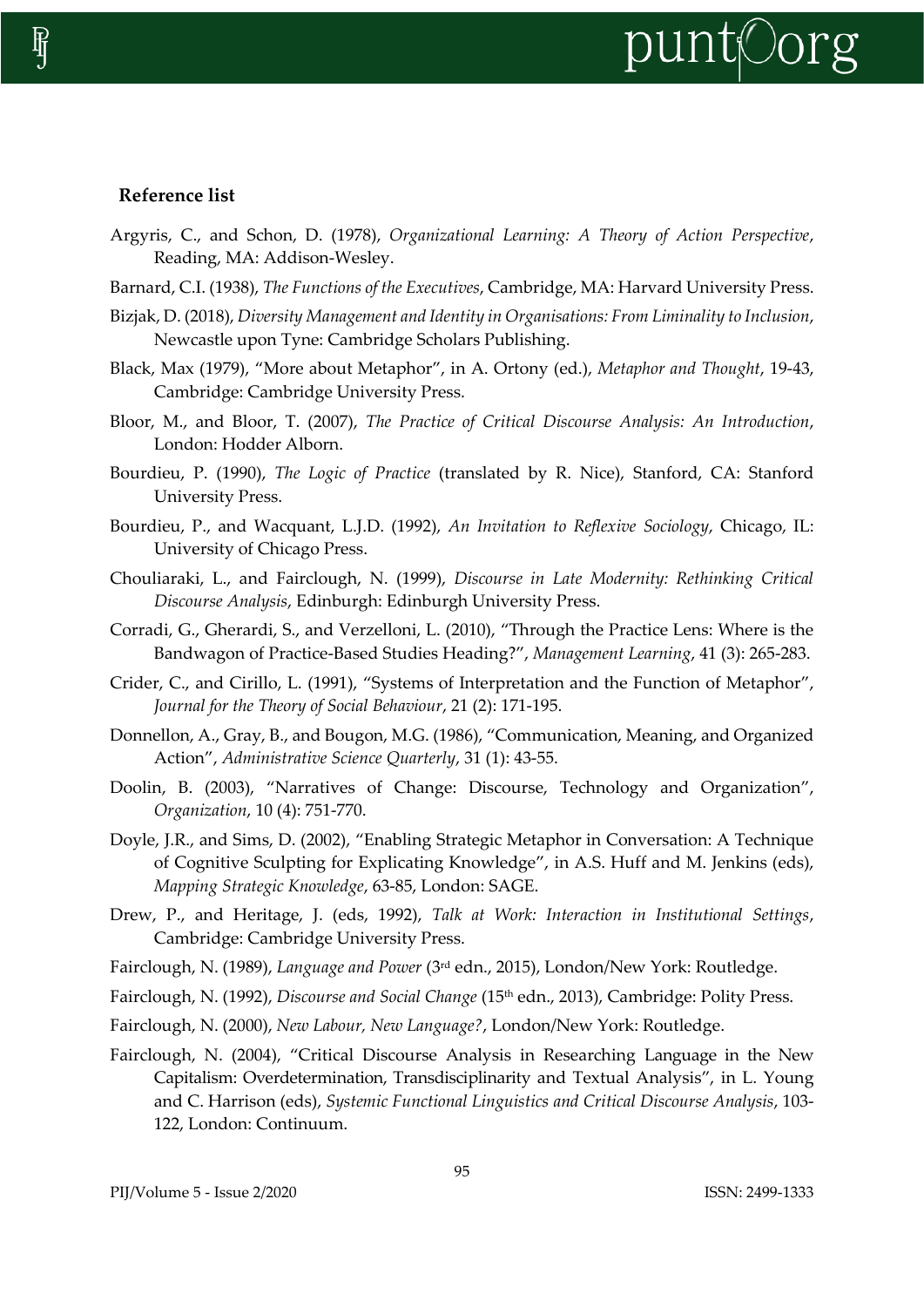## punt©org

## **Reference list**

- Argyris, C., and Schon, D. (1978), *Organizational Learning: A Theory of Action Perspective*, Reading, MA: Addison-Wesley.
- Barnard, C.I. (1938), *The Functions of the Executives*, Cambridge, MA: Harvard University Press.
- Bizjak, D. (2018), *Diversity Management and Identity in Organisations: From Liminality to Inclusion*, Newcastle upon Tyne: Cambridge Scholars Publishing.
- Black, Max (1979), "More about Metaphor", in A. Ortony (ed.), *Metaphor and Thought*, 19-43, Cambridge: Cambridge University Press.
- Bloor, M., and Bloor, T. (2007), *The Practice of Critical Discourse Analysis: An Introduction*, London: Hodder Alborn.
- Bourdieu, P. (1990), *The Logic of Practice* (translated by R. Nice), Stanford, CA: Stanford University Press.
- Bourdieu, P., and Wacquant, L.J.D. (1992), *An Invitation to Reflexive Sociology*, Chicago, IL: University of Chicago Press.
- Chouliaraki, L., and Fairclough, N. (1999), *Discourse in Late Modernity: Rethinking Critical Discourse Analysis*, Edinburgh: Edinburgh University Press.
- Corradi, G., Gherardi, S., and Verzelloni, L. (2010), "Through the Practice Lens: Where is the Bandwagon of Practice-Based Studies Heading?", *Management Learning*, 41 (3): 265-283.
- Crider, C., and Cirillo, L. (1991), "Systems of Interpretation and the Function of Metaphor", *Journal for the Theory of Social Behaviour*, 21 (2): 171-195.
- Donnellon, A., Gray, B., and Bougon, M.G. (1986), "Communication, Meaning, and Organized Action", *Administrative Science Quarterly*, 31 (1): 43-55.
- Doolin, B. (2003), "Narratives of Change: Discourse, Technology and Organization", *Organization*, 10 (4): 751-770.
- Doyle, J.R., and Sims, D. (2002), "Enabling Strategic Metaphor in Conversation: A Technique of Cognitive Sculpting for Explicating Knowledge", in A.S. Huff and M. Jenkins (eds), *Mapping Strategic Knowledge*, 63-85, London: SAGE.
- Drew, P., and Heritage, J. (eds, 1992), *Talk at Work: Interaction in Institutional Settings*, Cambridge: Cambridge University Press.
- Fairclough, N. (1989), *Language and Power* (3rd edn., 2015), London/New York: Routledge.
- Fairclough, N. (1992), *Discourse and Social Change* (15<sup>th</sup> edn., 2013), Cambridge: Polity Press.
- Fairclough, N. (2000), *New Labour, New Language?*, London/New York: Routledge.
- Fairclough, N. (2004), "Critical Discourse Analysis in Researching Language in the New Capitalism: Overdetermination, Transdisciplinarity and Textual Analysis", in L. Young and C. Harrison (eds), *Systemic Functional Linguistics and Critical Discourse Analysis*, 103- 122, London: Continuum.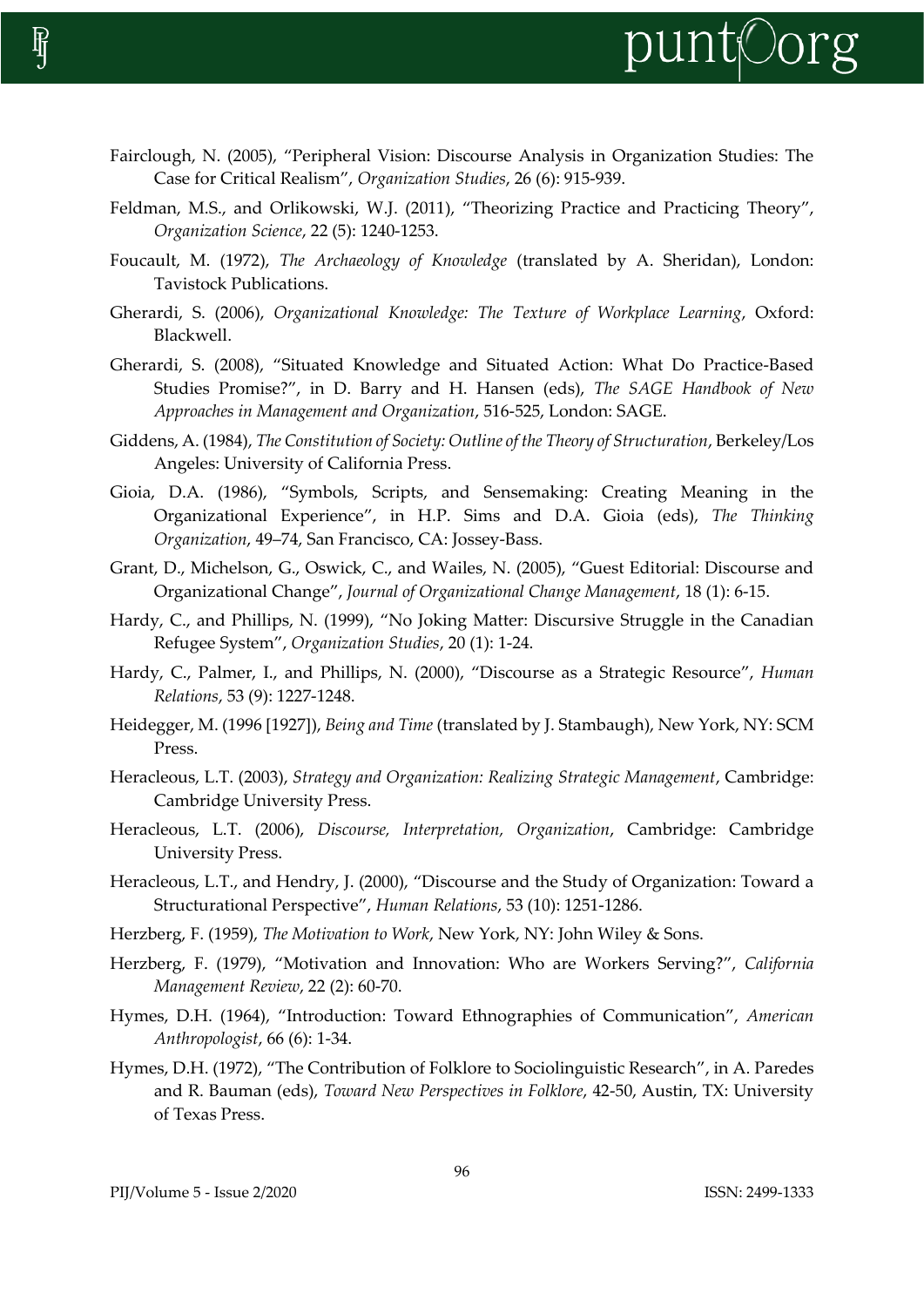

- Fairclough, N. (2005), "Peripheral Vision: Discourse Analysis in Organization Studies: The Case for Critical Realism", *Organization Studies*, 26 (6): 915-939.
- Feldman, M.S., and Orlikowski, W.J. (2011), "Theorizing Practice and Practicing Theory", *Organization Science*, 22 (5): 1240-1253.
- Foucault, M. (1972), *The Archaeology of Knowledge* (translated by A. Sheridan), London: Tavistock Publications.
- Gherardi, S. (2006), *Organizational Knowledge: The Texture of Workplace Learning*, Oxford: Blackwell.
- Gherardi, S. (2008), "Situated Knowledge and Situated Action: What Do Practice-Based Studies Promise?", in D. Barry and H. Hansen (eds), *The SAGE Handbook of New Approaches in Management and Organization*, 516-525, London: SAGE.
- Giddens, A. (1984), *The Constitution of Society: Outline of the Theory of Structuration*, Berkeley/Los Angeles: University of California Press.
- Gioia, D.A. (1986), "Symbols, Scripts, and Sensemaking: Creating Meaning in the Organizational Experience", in H.P. Sims and D.A. Gioia (eds), *The Thinking Organization*, 49–74, San Francisco, CA: Jossey-Bass.
- Grant, D., Michelson, G., Oswick, C., and Wailes, N. (2005), "Guest Editorial: Discourse and Organizational Change", *Journal of Organizational Change Management*, 18 (1): 6-15.
- Hardy, C., and Phillips, N. (1999), "No Joking Matter: Discursive Struggle in the Canadian Refugee System", *Organization Studies*, 20 (1): 1-24.
- Hardy, C., Palmer, I., and Phillips, N. (2000), "Discourse as a Strategic Resource", *Human Relations*, 53 (9): 1227-1248.
- Heidegger, M. (1996 [1927]), *Being and Time* (translated by J. Stambaugh), New York, NY: SCM Press.
- Heracleous, L.T. (2003), *Strategy and Organization: Realizing Strategic Management*, Cambridge: Cambridge University Press.
- Heracleous, L.T. (2006), *Discourse, Interpretation, Organization*, Cambridge: Cambridge University Press.
- Heracleous, L.T., and Hendry, J. (2000), "Discourse and the Study of Organization: Toward a Structurational Perspective", *Human Relations*, 53 (10): 1251-1286.
- Herzberg, F. (1959), *The Motivation to Work*, New York, NY: John Wiley & Sons.
- Herzberg, F. (1979), "Motivation and Innovation: Who are Workers Serving?", *California Management Review*, 22 (2): 60-70.
- Hymes, D.H. (1964), "Introduction: Toward Ethnographies of Communication", *American Anthropologist*, 66 (6): 1-34.
- Hymes, D.H. (1972), "The Contribution of Folklore to Sociolinguistic Research", in A. Paredes and R. Bauman (eds), *Toward New Perspectives in Folklore*, 42-50, Austin, TX: University of Texas Press.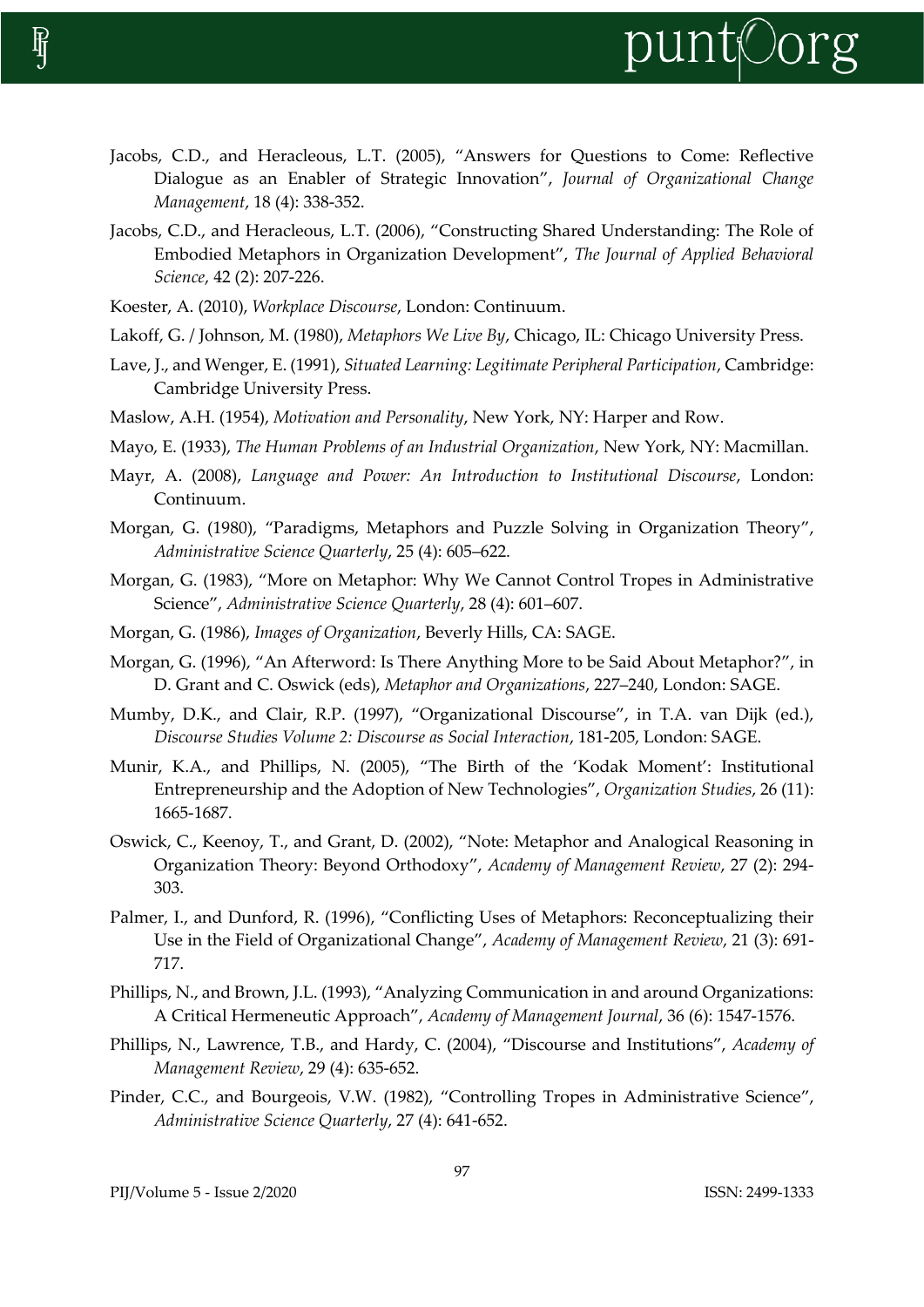

- Jacobs, C.D., and Heracleous, L.T. (2005), "Answers for Questions to Come: Reflective Dialogue as an Enabler of Strategic Innovation", *Journal of Organizational Change Management*, 18 (4): 338-352.
- Jacobs, C.D., and Heracleous, L.T. (2006), "Constructing Shared Understanding: The Role of Embodied Metaphors in Organization Development", *The Journal of Applied Behavioral Science*, 42 (2): 207-226.
- Koester, A. (2010), *Workplace Discourse*, London: Continuum.
- Lakoff, G. / Johnson, M. (1980), *Metaphors We Live By*, Chicago, IL: Chicago University Press.
- Lave, J., and Wenger, E. (1991), *Situated Learning: Legitimate Peripheral Participation*, Cambridge: Cambridge University Press.
- Maslow, A.H. (1954), *Motivation and Personality*, New York, NY: Harper and Row.
- Mayo, E. (1933), *The Human Problems of an Industrial Organization*, New York, NY: Macmillan.
- Mayr, A. (2008), *Language and Power: An Introduction to Institutional Discourse*, London: Continuum.
- Morgan, G. (1980), "Paradigms, Metaphors and Puzzle Solving in Organization Theory", *Administrative Science Quarterly*, 25 (4): 605–622.
- Morgan, G. (1983), "More on Metaphor: Why We Cannot Control Tropes in Administrative Science", *Administrative Science Quarterly*, 28 (4): 601–607.
- Morgan, G. (1986), *Images of Organization*, Beverly Hills, CA: SAGE.
- Morgan, G. (1996), "An Afterword: Is There Anything More to be Said About Metaphor?", in D. Grant and C. Oswick (eds), *Metaphor and Organizations*, 227–240, London: SAGE.
- Mumby, D.K., and Clair, R.P. (1997), "Organizational Discourse", in T.A. van Dijk (ed.), *Discourse Studies Volume 2: Discourse as Social Interaction*, 181-205, London: SAGE.
- Munir, K.A., and Phillips, N. (2005), "The Birth of the 'Kodak Moment': Institutional Entrepreneurship and the Adoption of New Technologies", *Organization Studies*, 26 (11): 1665-1687.
- Oswick, C., Keenoy, T., and Grant, D. (2002), "Note: Metaphor and Analogical Reasoning in Organization Theory: Beyond Orthodoxy", *Academy of Management Review*, 27 (2): 294- 303.
- Palmer, I., and Dunford, R. (1996), "Conflicting Uses of Metaphors: Reconceptualizing their Use in the Field of Organizational Change", *Academy of Management Review*, 21 (3): 691- 717.
- Phillips, N., and Brown, J.L. (1993), "Analyzing Communication in and around Organizations: A Critical Hermeneutic Approach", *Academy of Management Journal*, 36 (6): 1547-1576.
- Phillips, N., Lawrence, T.B., and Hardy, C. (2004), "Discourse and Institutions", *Academy of Management Review*, 29 (4): 635-652.
- Pinder, C.C., and Bourgeois, V.W. (1982), "Controlling Tropes in Administrative Science", *Administrative Science Quarterly*, 27 (4): 641-652.

PIJ/Volume 5 - Issue 2/2020 ISSN: 2499-1333